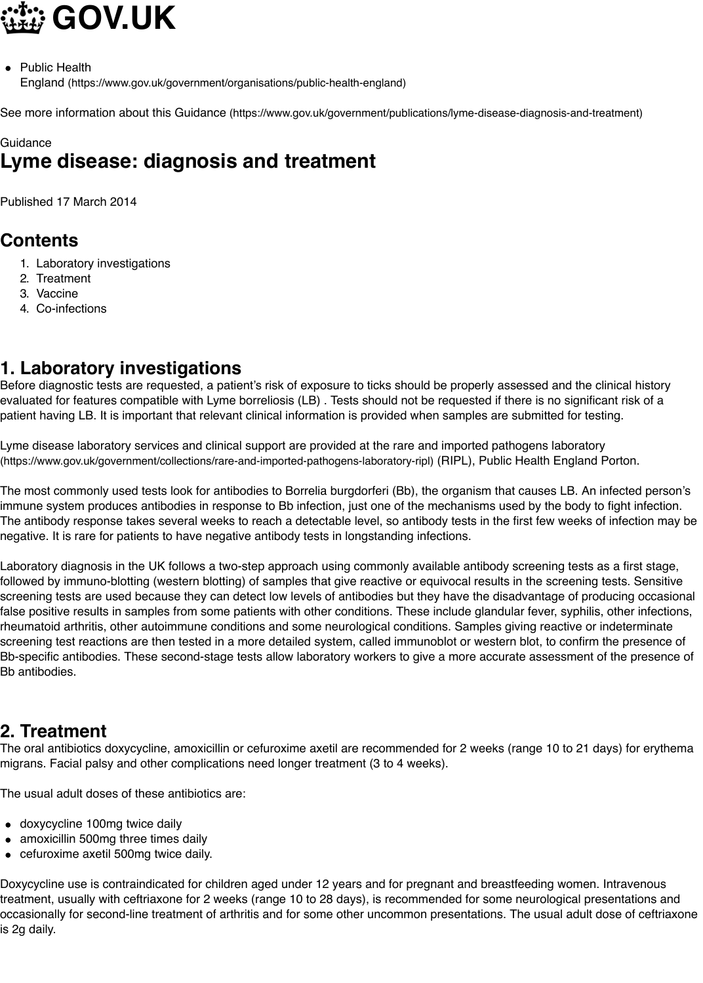## **Contents**

- [1. Laboratory investigations](https://www.gov.uk/government/organisations/public-health-england)
- 2. Treatment
- [3. Vaccine](https://www.gov.uk/government/publications/lyme-disease-diagnosis-and-treatment)
- 4. Co-infections

## **1. Laboratory investigations**

Before diagnostic tests are requested, a patient's risk of exposure to ticks should be properly assessed and the clini evaluated for features compatible with Lyme borreliosis (LB). Tests should not be requested if there is no significant patient having LB. It is important that relevant clinical information is provided when samples are submitted for testing.

Lyme [disease laboratory service](https://www.gov.uk/government/publications/lyme-disease-diagnosis-and-treatment/lyme-disease-diagnosis-and-treatment#laboratory-investigations)s and clinical support are provided at the rare and imported pathogens laboratory (https:/[/www.gov.uk](https://www.gov.uk/government/publications/lyme-disease-diagnosis-and-treatment/lyme-disease-diagnosis-and-treatment#treatment)/government/collections/rare-and-imported-pathogens-laboratory-ripl) (RIPL), Public Health England Po

The m[ost commonly](https://www.gov.uk/government/publications/lyme-disease-diagnosis-and-treatment/lyme-disease-diagnosis-and-treatment#co-infections) used tests look for antibodies to Borrelia burgdorferi (Bb), the organism that causes LB. An infe immune system produces antibodies in response to Bb infection, just one of the mechanisms used by the body to fig The antibody response takes several weeks to reach a detectable level, so antibody tests in the first few weeks of ir negative. It is rare for patients to have negative antibody tests in longstanding infections.

Laboratory diagnosis in the UK follows a two-step approach using commonly available antibody screening tests as a followed by immuno-blotting (western blotting) of samples that give reactive or equivocal results in the screening tes screening tests are used because they can detect low levels of antibodies but they have the disadvantage of produc false positive results in samples from some patients with other conditions. These include glandular fever, syphilis, ot rheumatoid arthritis, other autoimmune conditions and some neurological conditions. Samples giving reactive or ind [screening test reactions are then tested in a more detailed system, called immunoblot or western blot, to confirm th](https://www.gov.uk/government/collections/rare-and-imported-pathogens-laboratory-ripl)e Bb-specific antibodies. These second-stage tests allow laboratory workers to give a more accurate assessment of tl Bb antibodies.

## **2. Treatment**

The oral antibiotics doxycycline, amoxicillin or cefuroxime axetil are recommended for 2 weeks (range 10 to 21 days migrans. Facial palsy and other complications need longer treatment (3 to 4 weeks).

The usual adult doses of these antibiotics are:

- doxycycline 100mg twice daily
- amoxicillin 500mg three times daily
- cefuroxime axetil 500mg twice daily.

Doxycycline use is contraindicated for children aged under 12 years and for pregnant and breastfeeding women. Int treatment, usually with ceftriaxone for 2 weeks (range 10 to 28 days), is recommended for some neurological prese occasionally for second-line treatment of arthritis and for some other uncommon presentations. The usual adult dos is 2g daily.